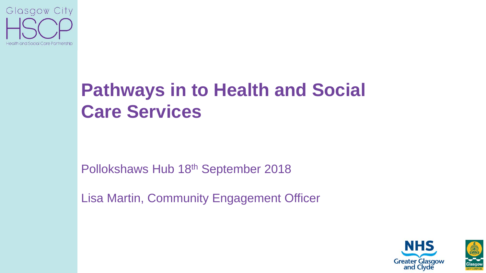

## **Pathways in to Health and Social Care Services**

Pollokshaws Hub 18th September 2018

Lisa Martin, Community Engagement Officer

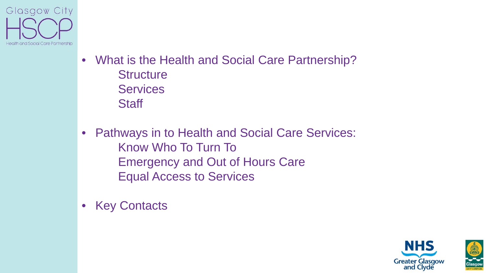

- What is the Health and Social Care Partnership? **Structure Services Staff**
- Pathways in to Health and Social Care Services: Know Who To Turn To Emergency and Out of Hours Care Equal Access to Services
- **Key Contacts**

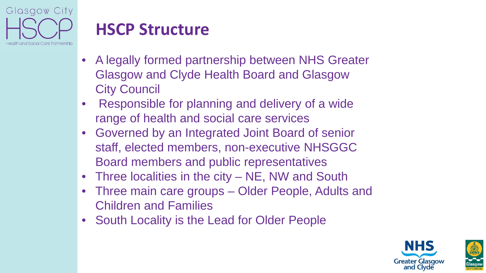

### **HSCP Structure**

- A legally formed partnership between NHS Greater Glasgow and Clyde Health Board and Glasgow City Council
- Responsible for planning and delivery of a wide range of health and social care services
- Governed by an Integrated Joint Board of senior staff, elected members, non-executive NHSGGC Board members and public representatives
- Three localities in the city NE, NW and South
- Three main care groups Older People, Adults and Children and Families
- South Locality is the Lead for Older People

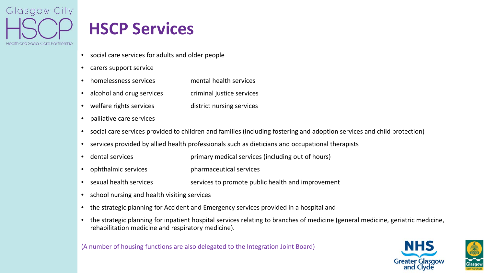

### **HSCP Services**

- social care services for adults and older people
- carers support service
- homelessness services mental health services
- alcohol and drug services criminal justice services
- welfare rights services district nursing services
- palliative care services
- social care services provided to children and families (including fostering and adoption services and child protection)
- services provided by allied health professionals such as dieticians and occupational therapists
- dental services **primary medical services (including out of hours)**
- ophthalmic services pharmaceutical services
- sexual health services services to promote public health and improvement
- school nursing and health visiting services
- the strategic planning for Accident and Emergency services provided in a hospital and
- the strategic planning for inpatient hospital services relating to branches of medicine (general medicine, geriatric medicine, rehabilitation medicine and respiratory medicine).

(A number of housing functions are also delegated to the Integration Joint Board)



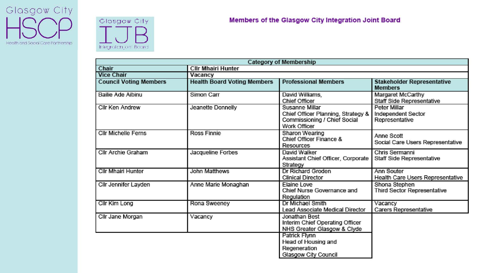



| <b>Category of Membership</b> |                                    |                                                                                                             |                                                      |
|-------------------------------|------------------------------------|-------------------------------------------------------------------------------------------------------------|------------------------------------------------------|
| Chair                         | <b>CIIr Mhairi Hunter</b>          |                                                                                                             |                                                      |
| <b>Vice Chair</b>             | Vacancy                            |                                                                                                             |                                                      |
| <b>Council Voting Members</b> | <b>Health Board Voting Members</b> | <b>Professional Members</b>                                                                                 | <b>Stakeholder Representative</b><br><b>Members</b>  |
| Bailie Ade Aibinu             | Simon Carr                         | David Williams,<br><b>Chief Officer</b>                                                                     | Margaret McCarthy<br>Staff Side Representative       |
| Cllr Ken Andrew               | Jeanette Donnelly                  | <b>Susanne Millar</b><br>Chief Officer Planning, Strategy &<br>Commissioning / Chief Social<br>Work Officer | Peter Millar<br>Independent Sector<br>Representative |
| <b>Cllr Michelle Ferns</b>    | <b>Ross Finnie</b>                 | Sharon Wearing<br>Chief Officer Finance &<br><b>Resources</b>                                               | Anne Scott<br>Social Care Users Representative       |
| Cllr Archie Graham            | Jacqueline Forbes                  | David Walker<br>Assistant Chief Officer, Corporate<br>Strategy                                              | Chris Sermanni<br>Staff Side Representative          |
| Cllr Mhairi Hunter            | John Matthews                      | Dr Richard Groden<br><b>Clinical Director</b>                                                               | Ann Souter<br>Health Care Users Representative       |
| Cllr Jennifer Layden          | Anne Marie Monaghan                | Elaine Love<br>Chief Nurse Governance and<br>Regulation                                                     | Shona Stephen<br><b>Third Sector Representative</b>  |
| Cllr Kim Long                 | Rona Sweeney                       | Dr Michael Smith<br>Lead Associate Medical Director                                                         | Vacancy<br>Carers Representative                     |
| Cllr Jane Morgan              | Vacancy                            | Jonathan Best<br>Interim Chief Operating Officer<br>NHS Greater Glasgow & Clyde                             |                                                      |
|                               |                                    | Patrick Flynn<br>Head of Housing and<br>Regeneration<br>Glasgow City Council                                |                                                      |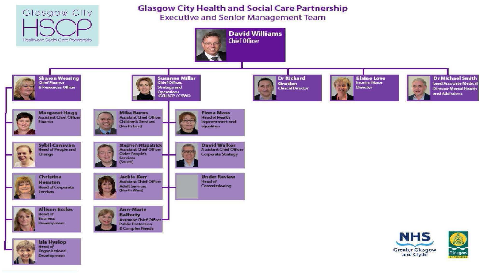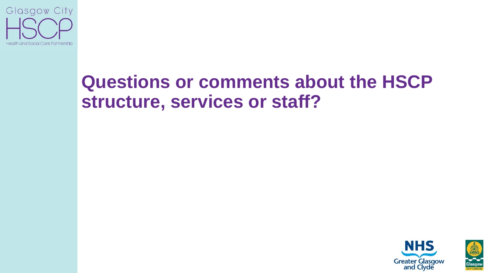

## **Questions or comments about the HSCP structure, services or staff?**

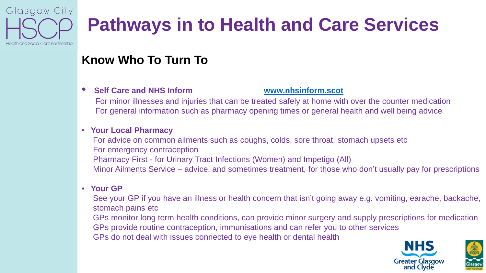

# **Pathways in to Health and Care Services**

### **Know Who To Turn To**

#### • **Self Care and NHS Inform [www.nhsinform.scot](http://www.nhsinform.scot/)**

For minor illnesses and injuries that can be treated safely at home with over the counter medication For general information such as pharmacy opening times or general health and well being advice

### • **Your Local Pharmacy**

For advice on common ailments such as coughs, colds, sore throat, stomach upsets etc For emergency contraception Pharmacy First - for Urinary Tract Infections (Women) and Impetigo (All) Minor Ailments Service – advice, and sometimes treatment, for those who don't usually pay for prescriptions

#### • **Your GP**

See your GP if you have an illness or health concern that isn't going away e.g. vomiting, earache, backache, stomach pains etc

GPs monitor long term health conditions, can provide minor surgery and supply prescriptions for medication GPs provide routine contraception, immunisations and can refer you to other services

GPs do not deal with issues connected to eye health or dental health



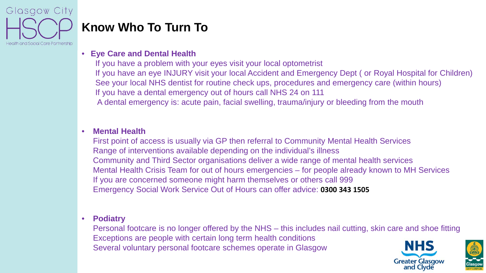

### **Know Who To Turn To**

#### • **Eye Care and Dental Health**

If you have a problem with your eyes visit your local optometrist If you have an eye INJURY visit your local Accident and Emergency Dept ( or Royal Hospital for Children) See your local NHS dentist for routine check ups, procedures and emergency care (within hours) If you have a dental emergency out of hours call NHS 24 on 111 A dental emergency is: acute pain, facial swelling, trauma/injury or bleeding from the mouth

#### • **Mental Health**

First point of access is usually via GP then referral to Community Mental Health Services Range of interventions available depending on the individual's illness Community and Third Sector organisations deliver a wide range of mental health services Mental Health Crisis Team for out of hours emergencies – for people already known to MH Services If you are concerned someone might harm themselves or others call 999 Emergency Social Work Service Out of Hours can offer advice: **0300 343 1505**

#### • **Podiatry**

Personal footcare is no longer offered by the NHS – this includes nail cutting, skin care and shoe fitting Exceptions are people with certain long term health conditions Several voluntary personal footcare schemes operate in Glasgow



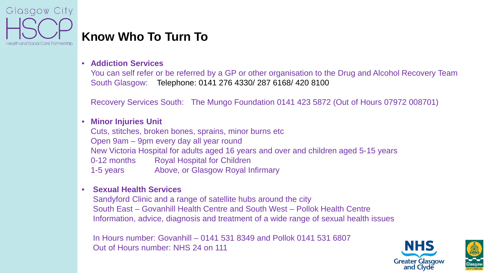

### **Know Who To Turn To**

#### • **Addiction Services**

You can self refer or be referred by a GP or other organisation to the Drug and Alcohol Recovery Team South Glasgow: Telephone: 0141 276 4330/ 287 6168/ 420 8100

Recovery Services South: The Mungo Foundation 0141 423 5872 (Out of Hours 07972 008701)

#### • **Minor Injuries Unit**

Cuts, stitches, broken bones, sprains, minor burns etc Open 9am – 9pm every day all year round New Victoria Hospital for adults aged 16 years and over and children aged 5-15 years 0-12 months Royal Hospital for Children 1-5 years Above, or Glasgow Royal Infirmary

#### • **Sexual Health Services**

Sandyford Clinic and a range of satellite hubs around the city South East – Govanhill Health Centre and South West – Pollok Health Centre Information, advice, diagnosis and treatment of a wide range of sexual health issues

In Hours number: Govanhill – 0141 531 8349 and Pollok 0141 531 6807 Out of Hours number: NHS 24 on 111



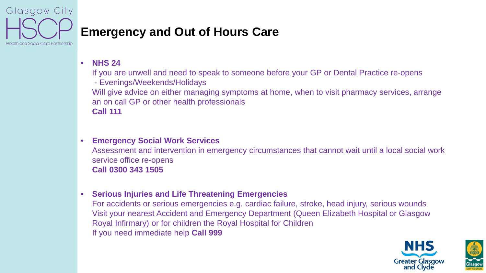

### **Emergency and Out of Hours Care**

• **NHS 24**

If you are unwell and need to speak to someone before your GP or Dental Practice re-opens

- Evenings/Weekends/Holidays

Will give advice on either managing symptoms at home, when to visit pharmacy services, arrange an on call GP or other health professionals **Call 111** 

#### • **Emergency Social Work Services**

Assessment and intervention in emergency circumstances that cannot wait until a local social work service office re-opens **Call 0300 343 1505**

#### • **Serious Injuries and Life Threatening Emergencies**

For accidents or serious emergencies e.g. cardiac failure, stroke, head injury, serious wounds Visit your nearest Accident and Emergency Department (Queen Elizabeth Hospital or Glasgow Royal Infirmary) or for children the Royal Hospital for Children If you need immediate help **Call 999**

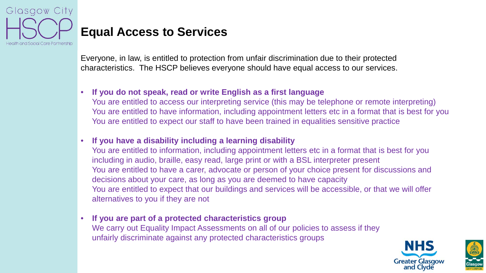

### **Equal Access to Services**

Everyone, in law, is entitled to protection from unfair discrimination due to their protected characteristics. The HSCP believes everyone should have equal access to our services.

#### • **If you do not speak, read or write English as a first language**

You are entitled to access our interpreting service (this may be telephone or remote interpreting) You are entitled to have information, including appointment letters etc in a format that is best for you You are entitled to expect our staff to have been trained in equalities sensitive practice

#### • **If you have a disability including a learning disability**

You are entitled to information, including appointment letters etc in a format that is best for you including in audio, braille, easy read, large print or with a BSL interpreter present You are entitled to have a carer, advocate or person of your choice present for discussions and decisions about your care, as long as you are deemed to have capacity You are entitled to expect that our buildings and services will be accessible, or that we will offer alternatives to you if they are not

#### • **If you are part of a protected characteristics group** We carry out Equality Impact Assessments on all of our policies to assess if they

unfairly discriminate against any protected characteristics groups



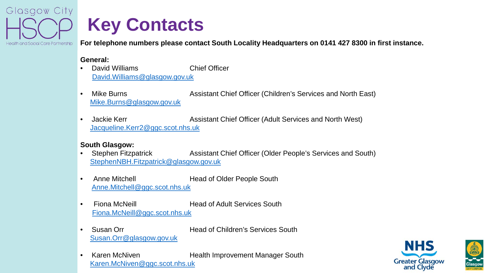

## **Key Contacts**

**For telephone numbers please contact South Locality Headquarters on 0141 427 8300 in first instance.**

#### **General:**

- **David Williams** Chief Officer [David.Williams@glasgow.gov.uk](mailto:David.Williams@glasgow.gov.uk)
- Mike Burns **Assistant Chief Officer (Children's Services and North East)** [Mike.Burns@glasgow.gov.uk](mailto:Mike.Burns@glasgow.gov.uk)
- Jackie Kerr **Assistant Chief Officer (Adult Services and North West)** [Jacqueline.Kerr2@ggc.scot.nhs.uk](mailto:Jacqueline.Kerr2@ggc.scot.nhs.uk)

#### **South Glasgow:**

- Stephen Fitzpatrick Assistant Chief Officer (Older People's Services and South) [StephenNBH.Fitzpatrick@glasgow.gov.uk](mailto:StephenNBH.Fitzpatrick@glasgow.gov.uk)
- Anne Mitchell Head of Older People South [Anne.Mitchell@ggc.scot.nhs.uk](mailto:Anne.Mitchell@ggc.scot.nhs.uk)
- Fiona McNeill **Head of Adult Services South** [Fiona.McNeill@ggc.scot.nhs.uk](mailto:Fiona.McNeill@ggc.scot.nhs.uk)
- Susan Orr **Head of Children's Services South** [Susan.Orr@glasgow.gov.uk](mailto:Susan.Orr@glasgow.gov.uk)
- Karen McNiven **Health Improvement Manager South** [Karen.McNiven@ggc.scot.nhs.uk](mailto:Karen.McNiven@ggc.scot.nhs.uk)